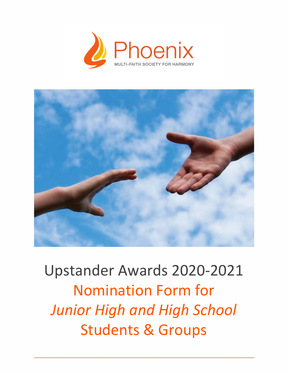



Upstander Awards 2020-2021 Nomination Form for *Junior High and High School* Students & Groups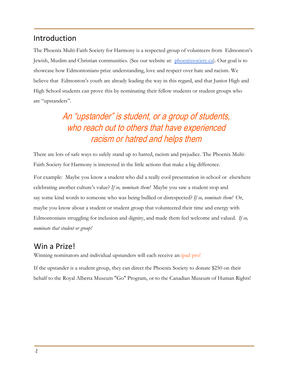## Introduction

The Phoenix Multi-Faith Society for Harmony is a respected group of volunteers from Edmonton's Jewish, Muslim and Christian communities. (See our website at:  [phoenixsociety.ca](https://www.phoenixsociety.ca/)). Our goal is to showcase how Edmontonians prize understanding, love and respect over hate and racism. We believe that Edmonton's youth are already leading the way in this regard, and that Junior High and High School students can prove this by nominating their fellow students or student groups who are "upstanders".

# An "upstander" is student, or a group of students, who reach out to others that have experienced racism or hatred and helps them

There are lots of safe ways to safely stand up to hatred, racism and prejudice. The Phoenix Multi-Faith Society for Harmony is interested in the little actions that make a big difference.

For example: Maybe you know a student who did a really cool presentation in school or elsewhere celebrating another culture's value? *If so, nominate them!* Maybe you saw a student stop and say some kind words to someone who was being bullied or disrespected? *If so, nominate them!* Or, maybe you know about a student or student group that volunteered their time and energy with Edmontonians struggling for inclusion and dignity, and made them feel welcome and valued. *If so, nominate that student or group!*

### Win a Prize!

Winning nominators and individual upstanders will each receive an ipad pro!

If the upstander is a student group, they can direct the Phoenix Society to donate \$250 on their behalf to the Royal Alberta Museum "Go" Program, or to the Canadian Museum of Human Rights!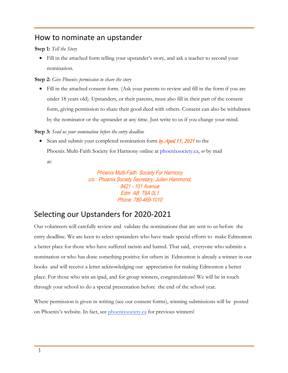### How to nominate an upstander

#### **Step 1:** *Tell the Story*

• Fill in the attached form telling your upstander's story, and ask a teacher to second your nomination.

#### **Step 2:** *Give Phoenix permission to share the story*

• Fill in the attached consent form. (Ask your parents to review and fill in the form if you are under 18 years old). Upstanders, or their parents, must also fill in their part of the consent form, giving permission to share their good deed with others. Consent can also be withdrawn by the nominator or the upstander at any time. Just write to us if you change your mind.

#### **Step 3:** *Send us your nomination before the entry deadline*

• Scan and submit your completed nomination form *by April 15, 2021* to the Phoenix Multi-Faith Society for Harmony online at [phoenixsociety.ca,](www.phoenixsociety.ca) *or* by mail at:

> Phoenix Multi-Faith Society For Harmony c/o Phoenix Society Secretary, Julien Hammond, 8421 - 101 Avenue Edm AB T6A 0L1 Phone: 780-469-1010

# Selecting our Upstanders for 2020-2021

Our volunteers will carefully review and validate the nominations that are sent to us before the entry deadline. We are keen to select upstanders who have made special efforts to make Edmonton a better place for those who have suffered racism and hatred. That said, everyone who submits a nomination or who has done something positive for others in Edmonton is already a winner in our books and will receive a letter acknowledging our appreciation for making Edmonton a better place. For those who win an ipad, and for group winners, congratulations! We will be in touch through your school to do a special presentation before the end of the school year.

Where permission is given in writing (see our consent forms), winning submissions will be posted on Phoenix's website. In fact, see [phoenixsociety.ca](https://www.phoenixsociety.ca/) for previous winners!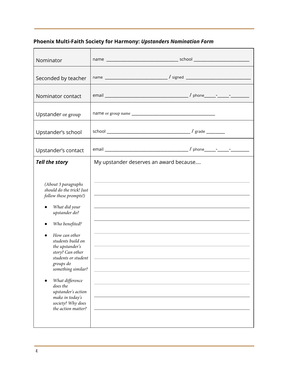### **Phoenix Multi-Faith Society for Harmony:** *Upstanders Nomination Form*

| Nominator                                                                                                                                                                                                                                                                                                                                                                                |                                                                                                                                                                                                                                                                                                                                                                                                                                                                                                                                                                                                                                                                                                                                                                                                 |
|------------------------------------------------------------------------------------------------------------------------------------------------------------------------------------------------------------------------------------------------------------------------------------------------------------------------------------------------------------------------------------------|-------------------------------------------------------------------------------------------------------------------------------------------------------------------------------------------------------------------------------------------------------------------------------------------------------------------------------------------------------------------------------------------------------------------------------------------------------------------------------------------------------------------------------------------------------------------------------------------------------------------------------------------------------------------------------------------------------------------------------------------------------------------------------------------------|
| Seconded by teacher                                                                                                                                                                                                                                                                                                                                                                      |                                                                                                                                                                                                                                                                                                                                                                                                                                                                                                                                                                                                                                                                                                                                                                                                 |
| Nominator contact                                                                                                                                                                                                                                                                                                                                                                        |                                                                                                                                                                                                                                                                                                                                                                                                                                                                                                                                                                                                                                                                                                                                                                                                 |
| Upstander or group                                                                                                                                                                                                                                                                                                                                                                       |                                                                                                                                                                                                                                                                                                                                                                                                                                                                                                                                                                                                                                                                                                                                                                                                 |
| Upstander's school                                                                                                                                                                                                                                                                                                                                                                       |                                                                                                                                                                                                                                                                                                                                                                                                                                                                                                                                                                                                                                                                                                                                                                                                 |
| Upstander's contact                                                                                                                                                                                                                                                                                                                                                                      |                                                                                                                                                                                                                                                                                                                                                                                                                                                                                                                                                                                                                                                                                                                                                                                                 |
| <b>Tell the story</b>                                                                                                                                                                                                                                                                                                                                                                    | My upstander deserves an award because                                                                                                                                                                                                                                                                                                                                                                                                                                                                                                                                                                                                                                                                                                                                                          |
| (About 3 paragraphs<br>should do the trick! Just<br>follow these prompts!)<br>What did your<br>upstander do?<br>Who benefited?<br>How can other<br>students build on<br>the upstander's<br>story? Can other<br>students or student<br>groups do<br>something similar?<br>What difference<br>does the<br>upstander's action<br>make in today's<br>society? Why does<br>the action matter? | and the control of the control of the control of the control of the control of the control of the control of the<br>the control of the control of the control of the control of the control of the control of the control of the control of the control of the control of the control of the control of the control of the control of the control<br><u> 1989 - Johann Stein, marwolaethau a bhann an chomhair an chomhair an chomhair an chomhair an chomhair an chom</u><br>the control of the control of the control of the control of the control of the control of the control of the control of the control of the control of the control of the control of the control of the control of the control<br>,我们也不能在这里的时候,我们也不能会在这里,我们也不能会在这里的时候,我们也不能会在这里的时候,我们也不能会在这里的时候,我们也不能会在这里的时候,我们也不能 |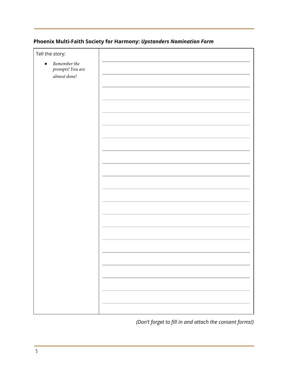### **Phoenix Multi-Faith Society for Harmony:** *Upstanders Nomination Form*

| Tell the story:                                               |  |
|---------------------------------------------------------------|--|
| Remember the<br>$\bullet$<br>prompts! You are<br>almost done! |  |
|                                                               |  |
|                                                               |  |
|                                                               |  |
|                                                               |  |
|                                                               |  |
|                                                               |  |
|                                                               |  |
|                                                               |  |
|                                                               |  |
|                                                               |  |
|                                                               |  |
|                                                               |  |
|                                                               |  |
|                                                               |  |
|                                                               |  |
|                                                               |  |
|                                                               |  |
|                                                               |  |
|                                                               |  |
|                                                               |  |

*(Don't forget to fill in and attach the consent forms!)*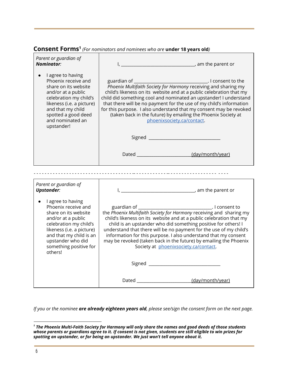#### Consent Forms<sup>1</sup> (For nominators and nominees who are under 18 years old)

| Parent or guardian of<br><b>Nominator:</b>                                                                                                                                                                                         |                                                                                                                                                                                                                                                                                                                                                                                                                                                                     |
|------------------------------------------------------------------------------------------------------------------------------------------------------------------------------------------------------------------------------------|---------------------------------------------------------------------------------------------------------------------------------------------------------------------------------------------------------------------------------------------------------------------------------------------------------------------------------------------------------------------------------------------------------------------------------------------------------------------|
| I agree to having<br>Phoenix receive and<br>share on its website<br>and/or at a public<br>celebration my child's<br>likeness (i.e. a picture)<br>and that my child<br>spotted a good deed<br>and nominated an<br>upstander!        | Phoenix Multifaith Society for Harmony receiving and sharing my<br>child's likeness on its website and at a public celebration that my<br>child did something cool and nominated an upstander! I understand<br>that there will be no payment for the use of my child's information<br>for this purpose. I also understand that my consent may be revoked<br>(taken back in the future) by emailing the Phoenix Society at<br>phoenixsociety.ca/contact.             |
|                                                                                                                                                                                                                                    |                                                                                                                                                                                                                                                                                                                                                                                                                                                                     |
|                                                                                                                                                                                                                                    | Dated (day/month/year)                                                                                                                                                                                                                                                                                                                                                                                                                                              |
|                                                                                                                                                                                                                                    |                                                                                                                                                                                                                                                                                                                                                                                                                                                                     |
| Parent or guardian of<br><b>Upstander:</b>                                                                                                                                                                                         |                                                                                                                                                                                                                                                                                                                                                                                                                                                                     |
| I agree to having<br>Phoenix receive and<br>share on its website<br>and/or at a public<br>celebration my child's<br>likeness (i.e. a picture)<br>and that my child is an<br>upstander who did<br>something positive for<br>others! | the Phoenix Multifaith Society for Harmony receiving and sharing my<br>child's likeness on its website and at a public celebration that my<br>child is an upstander who did something positive for others! I<br>understand that there will be no payment for the use of my child's<br>information for this purpose. I also understand that my consent<br>may be revoked (taken back in the future) by emailing the Phoenix<br>Society at phoenixsociety.ca/contact. |
|                                                                                                                                                                                                                                    |                                                                                                                                                                                                                                                                                                                                                                                                                                                                     |
|                                                                                                                                                                                                                                    |                                                                                                                                                                                                                                                                                                                                                                                                                                                                     |

*If you or the nominee are already eighteen years old, please see/sign the consent form on the next page.*

*<sup>1</sup> The Phoenix Multi-Faith Society for Harmony will only share the names and good deeds of those students whose parents or guardians agree to it. If consent is not given, students are still eligible to win prizes for spotting an upstander, or for being an upstander. We just won't tell anyone about it.*